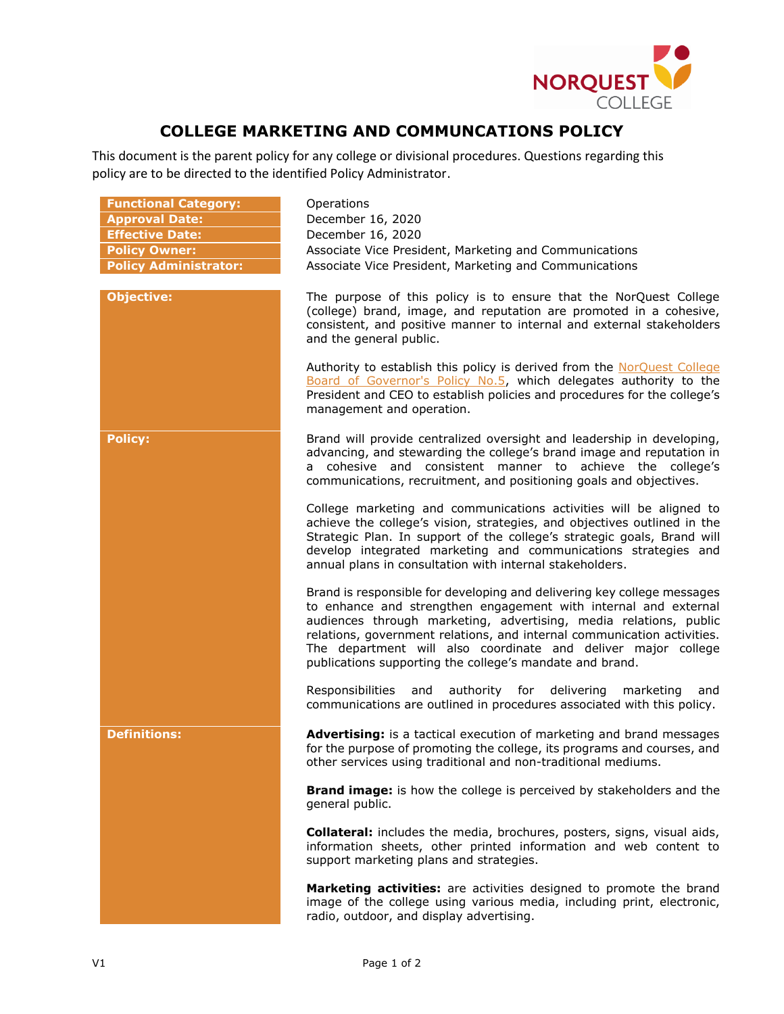

## **COLLEGE MARKETING AND COMMUNCATIONS POLICY**

This document is the parent policy for any college or divisional procedures. Questions regarding this policy are to be directed to the identified Policy Administrator.

| <b>Functional Category:</b><br><b>Approval Date:</b><br><b>Effective Date:</b><br><b>Policy Owner:</b><br><b>Policy Administrator:</b> | Operations<br>December 16, 2020<br>December 16, 2020<br>Associate Vice President, Marketing and Communications<br>Associate Vice President, Marketing and Communications                                                                                                                                                                                                                                                |
|----------------------------------------------------------------------------------------------------------------------------------------|-------------------------------------------------------------------------------------------------------------------------------------------------------------------------------------------------------------------------------------------------------------------------------------------------------------------------------------------------------------------------------------------------------------------------|
| <b>Objective:</b>                                                                                                                      | The purpose of this policy is to ensure that the NorQuest College<br>(college) brand, image, and reputation are promoted in a cohesive,<br>consistent, and positive manner to internal and external stakeholders<br>and the general public.                                                                                                                                                                             |
|                                                                                                                                        | Authority to establish this policy is derived from the NorQuest College<br>Board of Governor's Policy No.5, which delegates authority to the<br>President and CEO to establish policies and procedures for the college's<br>management and operation.                                                                                                                                                                   |
| <b>Policy:</b>                                                                                                                         | Brand will provide centralized oversight and leadership in developing,<br>advancing, and stewarding the college's brand image and reputation in<br>a cohesive and consistent manner to achieve the college's<br>communications, recruitment, and positioning goals and objectives.                                                                                                                                      |
|                                                                                                                                        | College marketing and communications activities will be aligned to<br>achieve the college's vision, strategies, and objectives outlined in the<br>Strategic Plan. In support of the college's strategic goals, Brand will<br>develop integrated marketing and communications strategies and<br>annual plans in consultation with internal stakeholders.                                                                 |
|                                                                                                                                        | Brand is responsible for developing and delivering key college messages<br>to enhance and strengthen engagement with internal and external<br>audiences through marketing, advertising, media relations, public<br>relations, government relations, and internal communication activities.<br>The department will also coordinate and deliver major college<br>publications supporting the college's mandate and brand. |
|                                                                                                                                        | authority for delivering<br>Responsibilities and<br>marketing<br>and<br>communications are outlined in procedures associated with this policy.                                                                                                                                                                                                                                                                          |
| <b>Definitions:</b>                                                                                                                    | Advertising: is a tactical execution of marketing and brand messages<br>for the purpose of promoting the college, its programs and courses, and<br>other services using traditional and non-traditional mediums.                                                                                                                                                                                                        |
|                                                                                                                                        | Brand image: is how the college is perceived by stakeholders and the<br>general public.                                                                                                                                                                                                                                                                                                                                 |
|                                                                                                                                        | <b>Collateral:</b> includes the media, brochures, posters, signs, visual aids,<br>information sheets, other printed information and web content to<br>support marketing plans and strategies.                                                                                                                                                                                                                           |
|                                                                                                                                        | Marketing activities: are activities designed to promote the brand<br>image of the college using various media, including print, electronic,<br>radio, outdoor, and display advertising.                                                                                                                                                                                                                                |